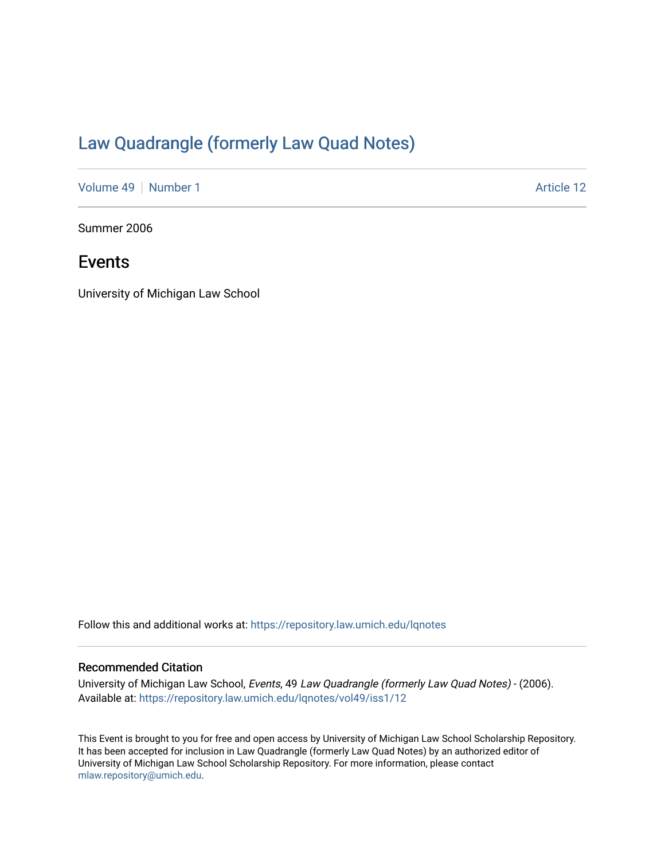## [Law Quadrangle \(formerly Law Quad Notes\)](https://repository.law.umich.edu/lqnotes)

[Volume 49](https://repository.law.umich.edu/lqnotes/vol49) | [Number 1](https://repository.law.umich.edu/lqnotes/vol49/iss1) Article 12

Summer 2006

### Events

University of Michigan Law School

Follow this and additional works at: [https://repository.law.umich.edu/lqnotes](https://repository.law.umich.edu/lqnotes?utm_source=repository.law.umich.edu%2Flqnotes%2Fvol49%2Fiss1%2F12&utm_medium=PDF&utm_campaign=PDFCoverPages) 

#### Recommended Citation

University of Michigan Law School, Events, 49 Law Quadrangle (formerly Law Quad Notes) - (2006). Available at: [https://repository.law.umich.edu/lqnotes/vol49/iss1/12](https://repository.law.umich.edu/lqnotes/vol49/iss1/12?utm_source=repository.law.umich.edu%2Flqnotes%2Fvol49%2Fiss1%2F12&utm_medium=PDF&utm_campaign=PDFCoverPages)

This Event is brought to you for free and open access by University of Michigan Law School Scholarship Repository. It has been accepted for inclusion in Law Quadrangle (formerly Law Quad Notes) by an authorized editor of University of Michigan Law School Scholarship Repository. For more information, please contact [mlaw.repository@umich.edu.](mailto:mlaw.repository@umich.edu)